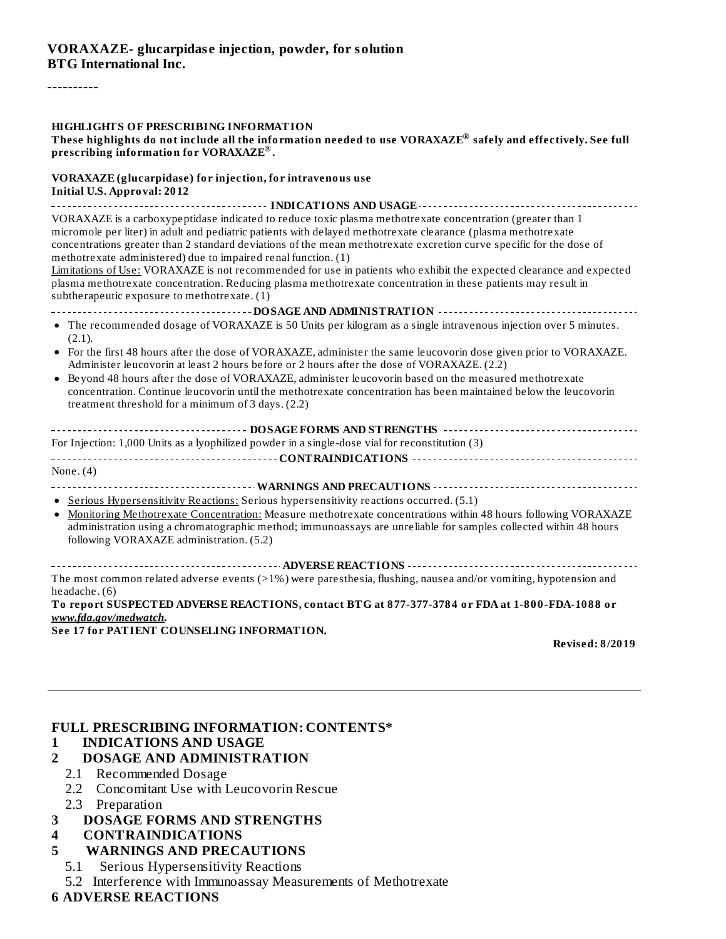#### ----------

#### **HIGHLIGHTS OF PRESCRIBING INFORMATION**

These highlights do not include all the information needed to use VORAXAZE $^\circ$  safely and effectively. See full **prescribing information for VORAXAZE . ®**

**VORAXAZE (glucarpidase) for injection, for intravenous use Initial U.S. Approval: 2012**

**INDICATIONS AND USAGE** VORAXAZE is a carboxypeptidase indicated to reduce toxic plasma methotrexate concentration (greater than 1 micromole per liter) in adult and pediatric patients with delayed methotrexate clearance (plasma methotrexate concentrations greater than 2 standard deviations of the mean methotrexate excretion curve specific for the dose of methotrexate administered) due to impaired renal function. (1)

Limitations of Use: VORAXAZE is not recommended for use in patients who exhibit the expected clearance and expected plasma methotrexate concentration. Reducing plasma methotrexate concentration in these patients may result in subtherapeutic exposure to methotrexate. (1)

#### **DOSAGE AND ADMINISTRATION**

- The recommended dosage of VORAXAZE is 50 Units per kilogram as a single intravenous injection over 5 minutes. (2.1).
- For the first 48 hours after the dose of VORAXAZE, administer the same leucovorin dose given prior to VORAXAZE. Administer leucovorin at least 2 hours before or 2 hours after the dose of VORAXAZE. (2.2)
- Beyond 48 hours after the dose of VORAXAZE, administer leucovorin based on the measured methotrexate concentration. Continue leucovorin until the methotrexate concentration has been maintained below the leucovorin treatment threshold for a minimum of 3 days. (2.2)

#### **DOSAGE FORMS AND STRENGTHS**

For Injection: 1,000 Units as a lyophilized powder in a single-dose vial for reconstitution (3) **CONTRAINDICATIONS**

None. (4)

**WARNINGS AND PRECAUTIONS**

• Serious Hypersensitivity Reactions: Serious hypersensitivity reactions occurred. (5.1)

• Monitoring Methotrexate Concentration: Measure methotrexate concentrations within 48 hours following VORAXAZE administration using a chromatographic method; immunoassays are unreliable for samples collected within 48 hours following VORAXAZE administration. (5.2)

**ADVERSE REACTIONS** The most common related adverse events (>1%) were paresthesia, flushing, nausea and/or vomiting, hypotension and headache. (6)

**To report SUSPECTED ADVERSE REACTIONS, contact BTG at 877-377-3784 or FDA at 1-800-FDA-1088 or** *www.fda.gov/medwatch***.**

**See 17 for PATIENT COUNSELING INFORMATION.**

**Revised: 8/2019**

#### **FULL PRESCRIBING INFORMATION: CONTENTS\***

#### **1 INDICATIONS AND USAGE**

#### **2 DOSAGE AND ADMINISTRATION**

- 2.1 Recommended Dosage
- 2.2 Concomitant Use with Leucovorin Rescue
- 2.3 Preparation
- **3 DOSAGE FORMS AND STRENGTHS**
- **4 CONTRAINDICATIONS**
- **5 WARNINGS AND PRECAUTIONS**
	- 5.1 Serious Hypersensitivity Reactions
	- 5.2 Interference with Immunoassay Measurements of Methotrexate

#### **6 ADVERSE REACTIONS**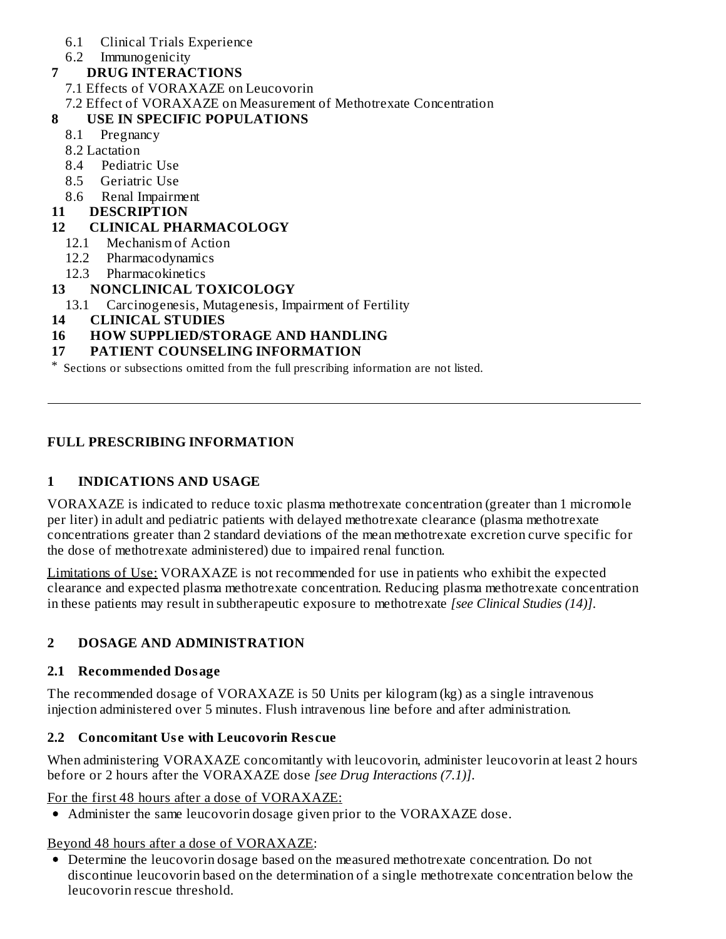- 6.1 Clinical Trials Experience
- 6.2 Immunogenicity
- **7 DRUG INTERACTIONS**
	- 7.1 Effects of VORAXAZE on Leucovorin
	- 7.2 Effect of VORAXAZE on Measurement of Methotrexate Concentration

## **8 USE IN SPECIFIC POPULATIONS**

- 8.1 Pregnancy
- 8.2 Lactation
- 8.4 Pediatric Use
- 8.5 Geriatric Use
- 8.6 Renal Impairment
- **11 DESCRIPTION**

## **12 CLINICAL PHARMACOLOGY**

- 12.1 Mechanism of Action
- 12.2 Pharmacodynamics
- 12.3 Pharmacokinetics

## **13 NONCLINICAL TOXICOLOGY**

- 13.1 Carcinogenesis, Mutagenesis, Impairment of Fertility
- **14 CLINICAL STUDIES**

## **16 HOW SUPPLIED/STORAGE AND HANDLING**

#### **17 PATIENT COUNSELING INFORMATION**

\* Sections or subsections omitted from the full prescribing information are not listed.

#### **FULL PRESCRIBING INFORMATION**

## **1 INDICATIONS AND USAGE**

VORAXAZE is indicated to reduce toxic plasma methotrexate concentration (greater than 1 micromole per liter) in adult and pediatric patients with delayed methotrexate clearance (plasma methotrexate concentrations greater than 2 standard deviations of the mean methotrexate excretion curve specific for the dose of methotrexate administered) due to impaired renal function.

Limitations of Use: VORAXAZE is not recommended for use in patients who exhibit the expected clearance and expected plasma methotrexate concentration. Reducing plasma methotrexate concentration in these patients may result in subtherapeutic exposure to methotrexate *[see Clinical Studies (14)]*.

## **2 DOSAGE AND ADMINISTRATION**

## **2.1 Recommended Dosage**

The recommended dosage of VORAXAZE is 50 Units per kilogram (kg) as a single intravenous injection administered over 5 minutes. Flush intravenous line before and after administration.

#### **2.2 Concomitant Us e with Leucovorin Res cue**

When administering VORAXAZE concomitantly with leucovorin, administer leucovorin at least 2 hours before or 2 hours after the VORAXAZE dose *[see Drug Interactions (7.1)]*.

For the first 48 hours after a dose of VORAXAZE:

Administer the same leucovorin dosage given prior to the VORAXAZE dose.

## Beyond 48 hours after a dose of VORAXAZE:

Determine the leucovorin dosage based on the measured methotrexate concentration. Do not discontinue leucovorin based on the determination of a single methotrexate concentration below the leucovorin rescue threshold.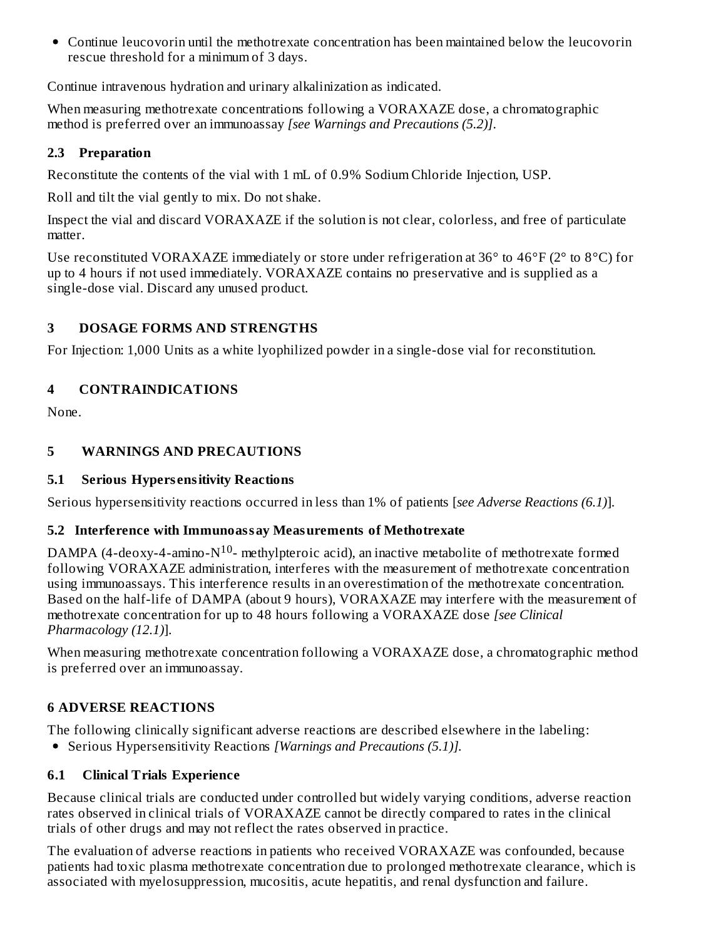Continue leucovorin until the methotrexate concentration has been maintained below the leucovorin rescue threshold for a minimum of 3 days.

Continue intravenous hydration and urinary alkalinization as indicated.

When measuring methotrexate concentrations following a VORAXAZE dose, a chromatographic method is preferred over an immunoassay *[see Warnings and Precautions (5.2)]*.

#### **2.3 Preparation**

Reconstitute the contents of the vial with 1 mL of 0.9% Sodium Chloride Injection, USP.

Roll and tilt the vial gently to mix. Do not shake.

Inspect the vial and discard VORAXAZE if the solution is not clear, colorless, and free of particulate matter.

Use reconstituted VORAXAZE immediately or store under refrigeration at 36 $\degree$  to 46 $\degree$ F (2 $\degree$  to 8 $\degree$ C) for up to 4 hours if not used immediately. VORAXAZE contains no preservative and is supplied as a single-dose vial. Discard any unused product.

## **3 DOSAGE FORMS AND STRENGTHS**

For Injection: 1,000 Units as a white lyophilized powder in a single-dose vial for reconstitution.

## **4 CONTRAINDICATIONS**

None.

## **5 WARNINGS AND PRECAUTIONS**

## **5.1 Serious Hypers ensitivity Reactions**

Serious hypersensitivity reactions occurred in less than 1% of patients [*see Adverse Reactions (6.1)*].

## **5.2 Interference with Immunoassay Measurements of Methotrexate**

DAMPA (4-deoxy-4-amino- $N^{10}$ - methylpteroic acid), an inactive metabolite of methotrexate formed following VORAXAZE administration, interferes with the measurement of methotrexate concentration using immunoassays. This interference results in an overestimation of the methotrexate concentration. Based on the half-life of DAMPA (about 9 hours), VORAXAZE may interfere with the measurement of methotrexate concentration for up to 48 hours following a VORAXAZE dose *[see Clinical Pharmacology (12.1)*].

When measuring methotrexate concentration following a VORAXAZE dose, a chromatographic method is preferred over an immunoassay.

# **6 ADVERSE REACTIONS**

The following clinically significant adverse reactions are described elsewhere in the labeling:

Serious Hypersensitivity Reactions *[Warnings and Precautions (5.1)].*

## **6.1 Clinical Trials Experience**

Because clinical trials are conducted under controlled but widely varying conditions, adverse reaction rates observed in clinical trials of VORAXAZE cannot be directly compared to rates in the clinical trials of other drugs and may not reflect the rates observed in practice.

The evaluation of adverse reactions in patients who received VORAXAZE was confounded, because patients had toxic plasma methotrexate concentration due to prolonged methotrexate clearance, which is associated with myelosuppression, mucositis, acute hepatitis, and renal dysfunction and failure.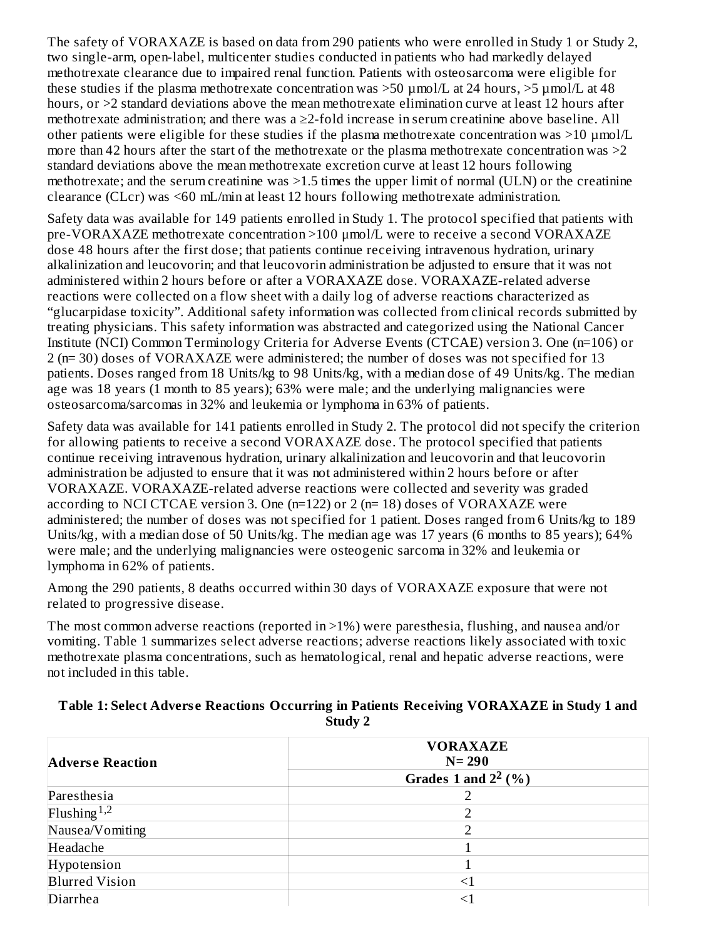The safety of VORAXAZE is based on data from 290 patients who were enrolled in Study 1 or Study 2, two single-arm, open-label, multicenter studies conducted in patients who had markedly delayed methotrexate clearance due to impaired renal function. Patients with osteosarcoma were eligible for these studies if the plasma methotrexate concentration was >50 µmol/L at 24 hours, >5 µmol/L at 48 hours, or  $\geq$  standard deviations above the mean methotrexate elimination curve at least 12 hours after methotrexate administration; and there was a ≥2-fold increase in serum creatinine above baseline. All other patients were eligible for these studies if the plasma methotrexate concentration was  $>$ 10 µmol/L more than 42 hours after the start of the methotrexate or the plasma methotrexate concentration was  $>2$ standard deviations above the mean methotrexate excretion curve at least 12 hours following methotrexate; and the serum creatinine was >1.5 times the upper limit of normal (ULN) or the creatinine clearance (CLcr) was <60 mL/min at least 12 hours following methotrexate administration.

Safety data was available for 149 patients enrolled in Study 1. The protocol specified that patients with pre-VORAXAZE methotrexate concentration >100 μmol/L were to receive a second VORAXAZE dose 48 hours after the first dose; that patients continue receiving intravenous hydration, urinary alkalinization and leucovorin; and that leucovorin administration be adjusted to ensure that it was not administered within 2 hours before or after a VORAXAZE dose. VORAXAZE-related adverse reactions were collected on a flow sheet with a daily log of adverse reactions characterized as "glucarpidase toxicity". Additional safety information was collected from clinical records submitted by treating physicians. This safety information was abstracted and categorized using the National Cancer Institute (NCI) Common Terminology Criteria for Adverse Events (CTCAE) version 3. One (n=106) or 2 (n= 30) doses of VORAXAZE were administered; the number of doses was not specified for 13 patients. Doses ranged from 18 Units/kg to 98 Units/kg, with a median dose of 49 Units/kg. The median age was 18 years (1 month to 85 years); 63% were male; and the underlying malignancies were osteosarcoma/sarcomas in 32% and leukemia or lymphoma in 63% of patients.

Safety data was available for 141 patients enrolled in Study 2. The protocol did not specify the criterion for allowing patients to receive a second VORAXAZE dose. The protocol specified that patients continue receiving intravenous hydration, urinary alkalinization and leucovorin and that leucovorin administration be adjusted to ensure that it was not administered within 2 hours before or after VORAXAZE. VORAXAZE-related adverse reactions were collected and severity was graded according to NCI CTCAE version 3. One  $(n=122)$  or 2  $(n=18)$  doses of VORAXAZE were administered; the number of doses was not specified for 1 patient. Doses ranged from 6 Units/kg to 189 Units/kg, with a median dose of 50 Units/kg. The median age was 17 years (6 months to 85 years); 64% were male; and the underlying malignancies were osteogenic sarcoma in 32% and leukemia or lymphoma in 62% of patients.

Among the 290 patients, 8 deaths occurred within 30 days of VORAXAZE exposure that were not related to progressive disease.

The most common adverse reactions (reported in >1%) were paresthesia, flushing, and nausea and/or vomiting. Table 1 summarizes select adverse reactions; adverse reactions likely associated with toxic methotrexate plasma concentrations, such as hematological, renal and hepatic adverse reactions, were not included in this table.

#### **Table 1: Select Advers e Reactions Occurring in Patients Receiving VORAXAZE in Study 1 and Study 2**

| <b>Adverse Reaction</b> | <b>VORAXAZE</b><br>$N = 290$ |  |
|-------------------------|------------------------------|--|
|                         | Grades 1 and $2^2$ (%)       |  |
| Paresthesia             |                              |  |
| Flushing <sup>1,2</sup> |                              |  |
| Nausea/Vomiting         |                              |  |
| Headache                |                              |  |
| Hypotension             |                              |  |
| <b>Blurred Vision</b>   | $\leq$ 1                     |  |
| Diarrhea                | <1                           |  |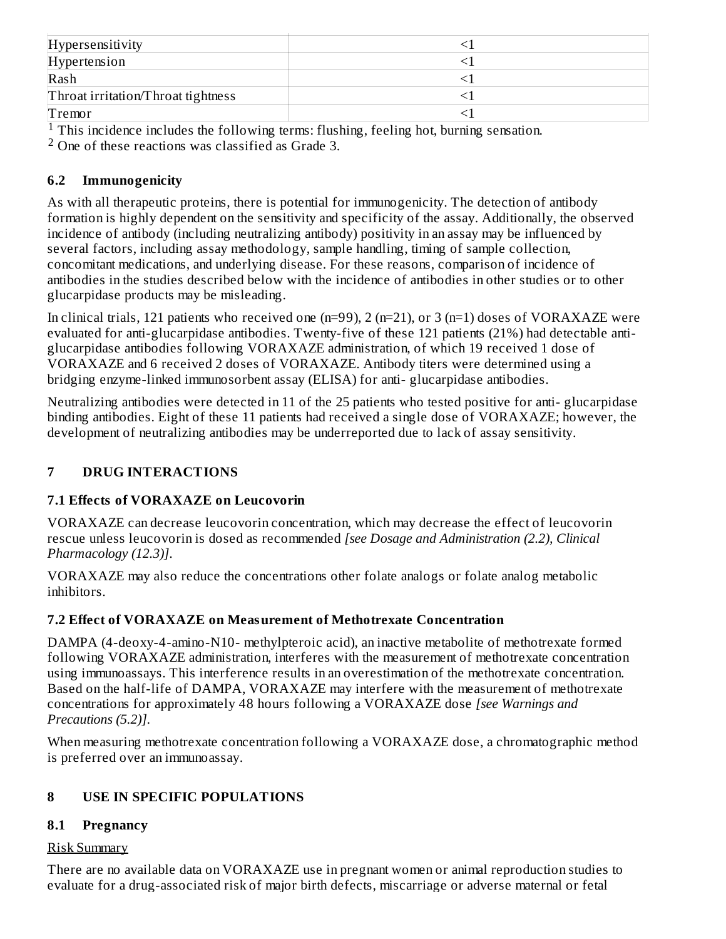| Hypersensitivity                   |  |
|------------------------------------|--|
| Hypertension                       |  |
| Rash                               |  |
| Throat irritation/Throat tightness |  |
| Tremor                             |  |

 $1$  This incidence includes the following terms: flushing, feeling hot, burning sensation.

<sup>2</sup> One of these reactions was classified as Grade 3.

#### **6.2 Immunogenicity**

As with all therapeutic proteins, there is potential for immunogenicity. The detection of antibody formation is highly dependent on the sensitivity and specificity of the assay. Additionally, the observed incidence of antibody (including neutralizing antibody) positivity in an assay may be influenced by several factors, including assay methodology, sample handling, timing of sample collection, concomitant medications, and underlying disease. For these reasons, comparison of incidence of antibodies in the studies described below with the incidence of antibodies in other studies or to other glucarpidase products may be misleading.

In clinical trials, 121 patients who received one (n=99), 2 (n=21), or 3 (n=1) doses of VORAXAZE were evaluated for anti-glucarpidase antibodies. Twenty-five of these 121 patients (21%) had detectable antiglucarpidase antibodies following VORAXAZE administration, of which 19 received 1 dose of VORAXAZE and 6 received 2 doses of VORAXAZE. Antibody titers were determined using a bridging enzyme-linked immunosorbent assay (ELISA) for anti- glucarpidase antibodies.

Neutralizing antibodies were detected in 11 of the 25 patients who tested positive for anti- glucarpidase binding antibodies. Eight of these 11 patients had received a single dose of VORAXAZE; however, the development of neutralizing antibodies may be underreported due to lack of assay sensitivity.

## **7 DRUG INTERACTIONS**

## **7.1 Effects of VORAXAZE on Leucovorin**

VORAXAZE can decrease leucovorin concentration, which may decrease the effect of leucovorin rescue unless leucovorin is dosed as recommended *[see Dosage and Administration (2.2), Clinical Pharmacology (12.3)]*.

VORAXAZE may also reduce the concentrations other folate analogs or folate analog metabolic inhibitors.

## **7.2 Effect of VORAXAZE on Measurement of Methotrexate Concentration**

DAMPA (4-deoxy-4-amino-N10- methylpteroic acid), an inactive metabolite of methotrexate formed following VORAXAZE administration, interferes with the measurement of methotrexate concentration using immunoassays. This interference results in an overestimation of the methotrexate concentration. Based on the half-life of DAMPA, VORAXAZE may interfere with the measurement of methotrexate concentrations for approximately 48 hours following a VORAXAZE dose *[see Warnings and Precautions (5.2)]*.

When measuring methotrexate concentration following a VORAXAZE dose, a chromatographic method is preferred over an immunoassay.

## **8 USE IN SPECIFIC POPULATIONS**

## **8.1 Pregnancy**

#### Risk Summary

There are no available data on VORAXAZE use in pregnant women or animal reproduction studies to evaluate for a drug-associated risk of major birth defects, miscarriage or adverse maternal or fetal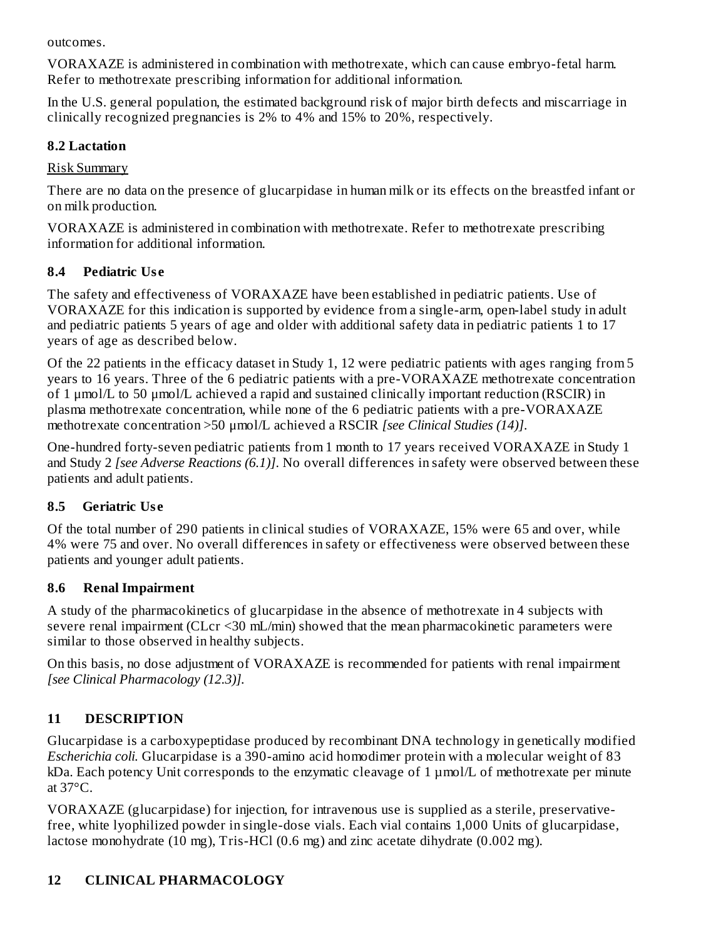outcomes.

VORAXAZE is administered in combination with methotrexate, which can cause embryo-fetal harm. Refer to methotrexate prescribing information for additional information.

In the U.S. general population, the estimated background risk of major birth defects and miscarriage in clinically recognized pregnancies is 2% to 4% and 15% to 20%, respectively.

#### **8.2 Lactation**

Risk Summary

There are no data on the presence of glucarpidase in human milk or its effects on the breastfed infant or on milk production.

VORAXAZE is administered in combination with methotrexate. Refer to methotrexate prescribing information for additional information.

## **8.4 Pediatric Us e**

The safety and effectiveness of VORAXAZE have been established in pediatric patients. Use of VORAXAZE for this indication is supported by evidence from a single-arm, open-label study in adult and pediatric patients 5 years of age and older with additional safety data in pediatric patients 1 to 17 years of age as described below.

Of the 22 patients in the efficacy dataset in Study 1, 12 were pediatric patients with ages ranging from 5 years to 16 years. Three of the 6 pediatric patients with a pre-VORAXAZE methotrexate concentration of 1 μmol/L to 50 μmol/L achieved a rapid and sustained clinically important reduction (RSCIR) in plasma methotrexate concentration, while none of the 6 pediatric patients with a pre-VORAXAZE methotrexate concentration >50 μmol/L achieved a RSCIR *[see Clinical Studies (14)]*.

One-hundred forty-seven pediatric patients from 1 month to 17 years received VORAXAZE in Study 1 and Study 2 *[see Adverse Reactions (6.1)]*. No overall differences in safety were observed between these patients and adult patients.

# **8.5 Geriatric Us e**

Of the total number of 290 patients in clinical studies of VORAXAZE, 15% were 65 and over, while 4% were 75 and over. No overall differences in safety or effectiveness were observed between these patients and younger adult patients.

# **8.6 Renal Impairment**

A study of the pharmacokinetics of glucarpidase in the absence of methotrexate in 4 subjects with severe renal impairment (CLcr <30 mL/min) showed that the mean pharmacokinetic parameters were similar to those observed in healthy subjects.

On this basis, no dose adjustment of VORAXAZE is recommended for patients with renal impairment *[see Clinical Pharmacology (12.3)].*

# **11 DESCRIPTION**

Glucarpidase is a carboxypeptidase produced by recombinant DNA technology in genetically modified *Escherichia coli.* Glucarpidase is a 390-amino acid homodimer protein with a molecular weight of 83 kDa. Each potency Unit corresponds to the enzymatic cleavage of 1 µmol/L of methotrexate per minute at 37°C.

VORAXAZE (glucarpidase) for injection, for intravenous use is supplied as a sterile, preservativefree, white lyophilized powder in single-dose vials. Each vial contains 1,000 Units of glucarpidase, lactose monohydrate (10 mg), Tris-HCl (0.6 mg) and zinc acetate dihydrate (0.002 mg).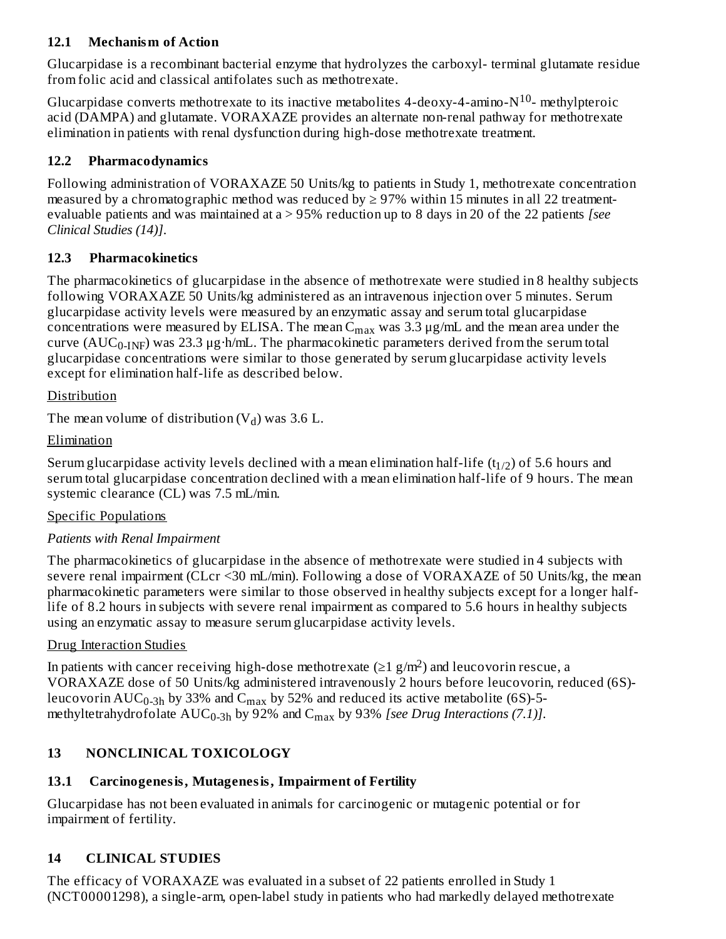#### **12.1 Mechanism of Action**

Glucarpidase is a recombinant bacterial enzyme that hydrolyzes the carboxyl- terminal glutamate residue from folic acid and classical antifolates such as methotrexate.

Glucarpidase converts methotrexate to its inactive metabolites 4-deoxy-4-amino- $N^{10}$ - methylpteroic acid (DAMPA) and glutamate. VORAXAZE provides an alternate non-renal pathway for methotrexate elimination in patients with renal dysfunction during high-dose methotrexate treatment.

#### **12.2 Pharmacodynamics**

Following administration of VORAXAZE 50 Units/kg to patients in Study 1, methotrexate concentration measured by a chromatographic method was reduced by  $\geq$  97% within 15 minutes in all 22 treatmentevaluable patients and was maintained at a > 95% reduction up to 8 days in 20 of the 22 patients *[see Clinical Studies (14)]*.

#### **12.3 Pharmacokinetics**

The pharmacokinetics of glucarpidase in the absence of methotrexate were studied in 8 healthy subjects following VORAXAZE 50 Units/kg administered as an intravenous injection over 5 minutes. Serum glucarpidase activity levels were measured by an enzymatic assay and serum total glucarpidase concentrations were measured by ELISA. The mean  $C_{max}$  was 3.3  $\mu$ g/mL and the mean area under the curve ( $\rm AUC_{0\text{-}INF}$ ) was 23.3  $\mu$ g·h/mL. The pharmacokinetic parameters derived from the serum total glucarpidase concentrations were similar to those generated by serum glucarpidase activity levels except for elimination half-life as described below.

#### Distribution

The mean volume of distribution  $(V_d)$  was 3.6 L.

#### **Elimination**

Serum glucarpidase activity levels declined with a mean elimination half-life  $(t_{1/2})$  of 5.6 hours and serum total glucarpidase concentration declined with a mean elimination half-life of 9 hours. The mean systemic clearance (CL) was 7.5 mL/min.

#### Specific Populations

#### *Patients with Renal Impairment*

The pharmacokinetics of glucarpidase in the absence of methotrexate were studied in 4 subjects with severe renal impairment (CLcr <30 mL/min). Following a dose of VORAXAZE of 50 Units/kg, the mean pharmacokinetic parameters were similar to those observed in healthy subjects except for a longer halflife of 8.2 hours in subjects with severe renal impairment as compared to 5.6 hours in healthy subjects using an enzymatic assay to measure serum glucarpidase activity levels.

#### Drug Interaction Studies

In patients with cancer receiving high-dose methotrexate ( $\geq 1$  g/m<sup>2</sup>) and leucovorin rescue, a VORAXAZE dose of 50 Units/kg administered intravenously 2 hours before leucovorin, reduced (6S) leucovorin  $\mathrm{AUC_{0-3h}}$  by 33% and  $\mathrm{C_{max}}$  by 52% and reduced its active metabolite (6S)-5methyltetrahydrofolate  $\text{AUC}_{0-3h}$  by 92% and  $\text{C}_{\text{max}}$  by 93% *[see Drug Interactions (7.1)]*.

# **13 NONCLINICAL TOXICOLOGY**

## **13.1 Carcinogenesis, Mutagenesis, Impairment of Fertility**

Glucarpidase has not been evaluated in animals for carcinogenic or mutagenic potential or for impairment of fertility.

## **14 CLINICAL STUDIES**

The efficacy of VORAXAZE was evaluated in a subset of 22 patients enrolled in Study 1 (NCT00001298), a single-arm, open-label study in patients who had markedly delayed methotrexate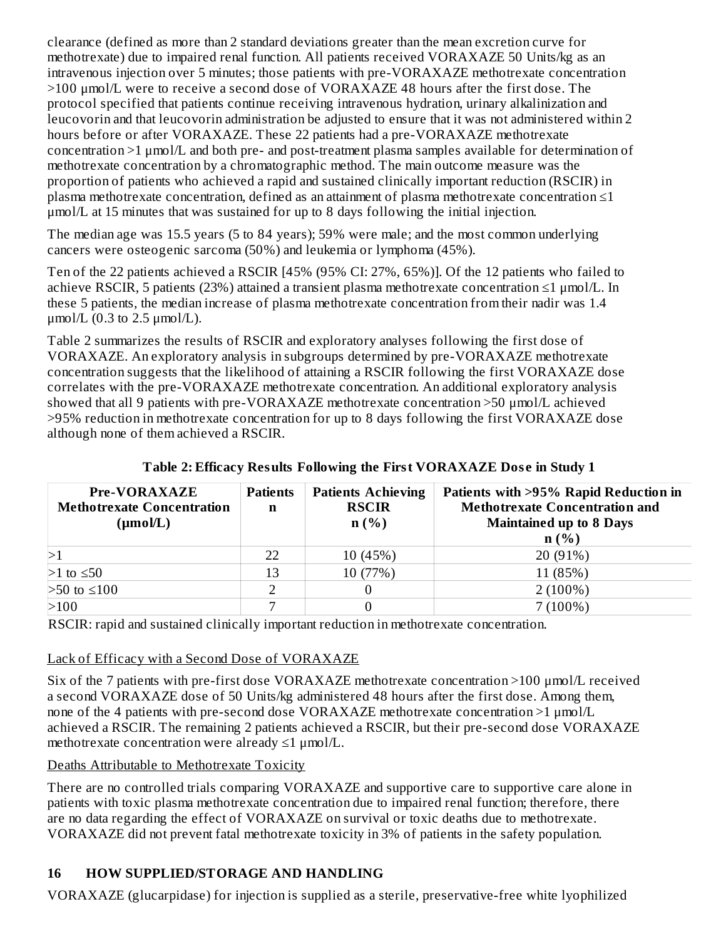clearance (defined as more than 2 standard deviations greater than the mean excretion curve for methotrexate) due to impaired renal function. All patients received VORAXAZE 50 Units/kg as an intravenous injection over 5 minutes; those patients with pre-VORAXAZE methotrexate concentration >100 μmol/L were to receive a second dose of VORAXAZE 48 hours after the first dose. The protocol specified that patients continue receiving intravenous hydration, urinary alkalinization and leucovorin and that leucovorin administration be adjusted to ensure that it was not administered within 2 hours before or after VORAXAZE. These 22 patients had a pre-VORAXAZE methotrexate concentration >1 μmol/L and both pre- and post-treatment plasma samples available for determination of methotrexate concentration by a chromatographic method. The main outcome measure was the proportion of patients who achieved a rapid and sustained clinically important reduction (RSCIR) in plasma methotrexate concentration, defined as an attainment of plasma methotrexate concentration ≤1 μmol/L at 15 minutes that was sustained for up to 8 days following the initial injection.

The median age was 15.5 years (5 to 84 years); 59% were male; and the most common underlying cancers were osteogenic sarcoma (50%) and leukemia or lymphoma (45%).

Ten of the 22 patients achieved a RSCIR [45% (95% CI: 27%, 65%)]. Of the 12 patients who failed to achieve RSCIR, 5 patients (23%) attained a transient plasma methotrexate concentration ≤1 μmol/L. In these 5 patients, the median increase of plasma methotrexate concentration from their nadir was 1.4 μmol/L  $(0.3$  to 2.5 μmol/L).

Table 2 summarizes the results of RSCIR and exploratory analyses following the first dose of VORAXAZE. An exploratory analysis in subgroups determined by pre-VORAXAZE methotrexate concentration suggests that the likelihood of attaining a RSCIR following the first VORAXAZE dose correlates with the pre-VORAXAZE methotrexate concentration. An additional exploratory analysis showed that all 9 patients with pre-VORAXAZE methotrexate concentration >50 μmol/L achieved >95% reduction in methotrexate concentration for up to 8 days following the first VORAXAZE dose although none of them achieved a RSCIR.

| <b>Pre-VORAXAZE</b><br><b>Methotrexate Concentration</b><br>(µmol/L) | <b>Patients</b><br>n | <b>Patients Achieving</b><br><b>RSCIR</b><br>n(%) | Patients with >95% Rapid Reduction in<br><b>Methotrexate Concentration and</b><br><b>Maintained up to 8 Days</b><br>n(%) |
|----------------------------------------------------------------------|----------------------|---------------------------------------------------|--------------------------------------------------------------------------------------------------------------------------|
|                                                                      | 22                   | 10 (45%)                                          | 20 (91%)                                                                                                                 |
| $>1$ to $\leq 50$                                                    | 13                   | 10 (77%)                                          | 11 (85%)                                                                                                                 |
| $>50$ to ≤100                                                        |                      |                                                   | $2(100\%)$                                                                                                               |
| >100                                                                 |                      |                                                   | $7(100\%)$                                                                                                               |

**Table 2: Efficacy Results Following the First VORAXAZE Dos e in Study 1**

RSCIR: rapid and sustained clinically important reduction in methotrexate concentration.

#### Lack of Efficacy with a Second Dose of VORAXAZE

Six of the 7 patients with pre-first dose VORAXAZE methotrexate concentration >100 μmol/L received a second VORAXAZE dose of 50 Units/kg administered 48 hours after the first dose. Among them, none of the 4 patients with pre-second dose VORAXAZE methotrexate concentration >1 μmol/L achieved a RSCIR. The remaining 2 patients achieved a RSCIR, but their pre-second dose VORAXAZE methotrexate concentration were already ≤1 μmol/L.

#### Deaths Attributable to Methotrexate Toxicity

There are no controlled trials comparing VORAXAZE and supportive care to supportive care alone in patients with toxic plasma methotrexate concentration due to impaired renal function; therefore, there are no data regarding the effect of VORAXAZE on survival or toxic deaths due to methotrexate. VORAXAZE did not prevent fatal methotrexate toxicity in 3% of patients in the safety population.

# **16 HOW SUPPLIED/STORAGE AND HANDLING**

VORAXAZE (glucarpidase) for injection is supplied as a sterile, preservative-free white lyophilized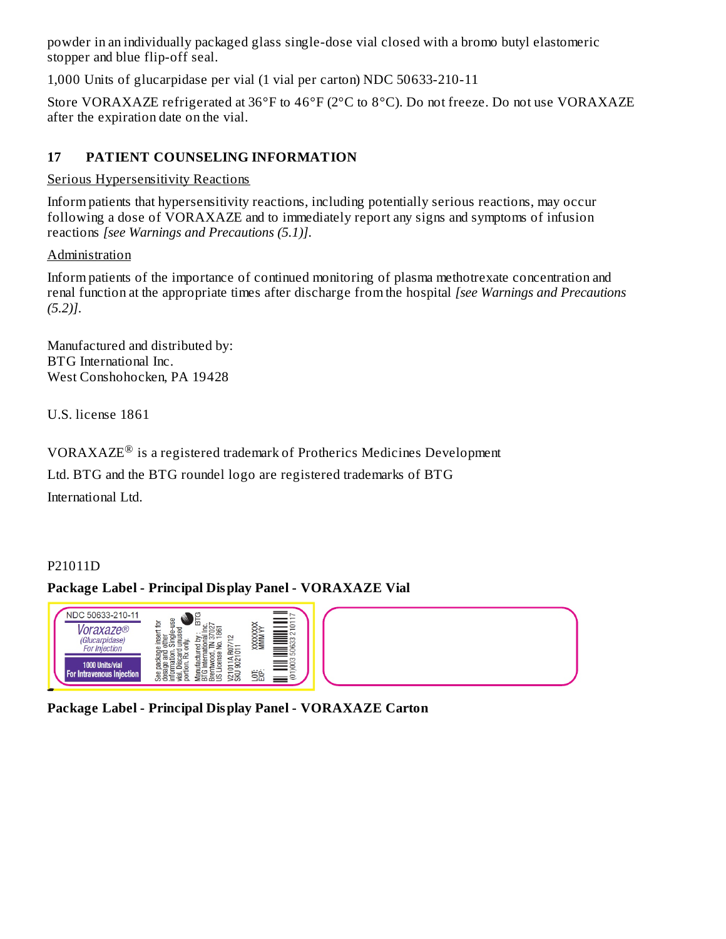powder in an individually packaged glass single-dose vial closed with a bromo butyl elastomeric stopper and blue flip-off seal.

1,000 Units of glucarpidase per vial (1 vial per carton) NDC 50633-210-11

Store VORAXAZE refrigerated at 36°F to 46°F (2°C to 8°C). Do not freeze. Do not use VORAXAZE after the expiration date on the vial.

## **17 PATIENT COUNSELING INFORMATION**

#### Serious Hypersensitivity Reactions

Inform patients that hypersensitivity reactions, including potentially serious reactions, may occur following a dose of VORAXAZE and to immediately report any signs and symptoms of infusion reactions *[see Warnings and Precautions (5.1)]*.

#### Administration

Inform patients of the importance of continued monitoring of plasma methotrexate concentration and renal function at the appropriate times after discharge from the hospital *[see Warnings and Precautions (5.2)]*.

Manufactured and distributed by: BTG International Inc. West Conshohocken, PA 19428

U.S. license 1861

VORAXAZE $^{\circledR}$  is a registered trademark of Protherics Medicines Development

Ltd. BTG and the BTG roundel logo are registered trademarks of BTG International Ltd.

#### P21011D

#### **Package Label - Principal Display Panel - VORAXAZE Vial**



**Package Label - Principal Display Panel - VORAXAZE Carton**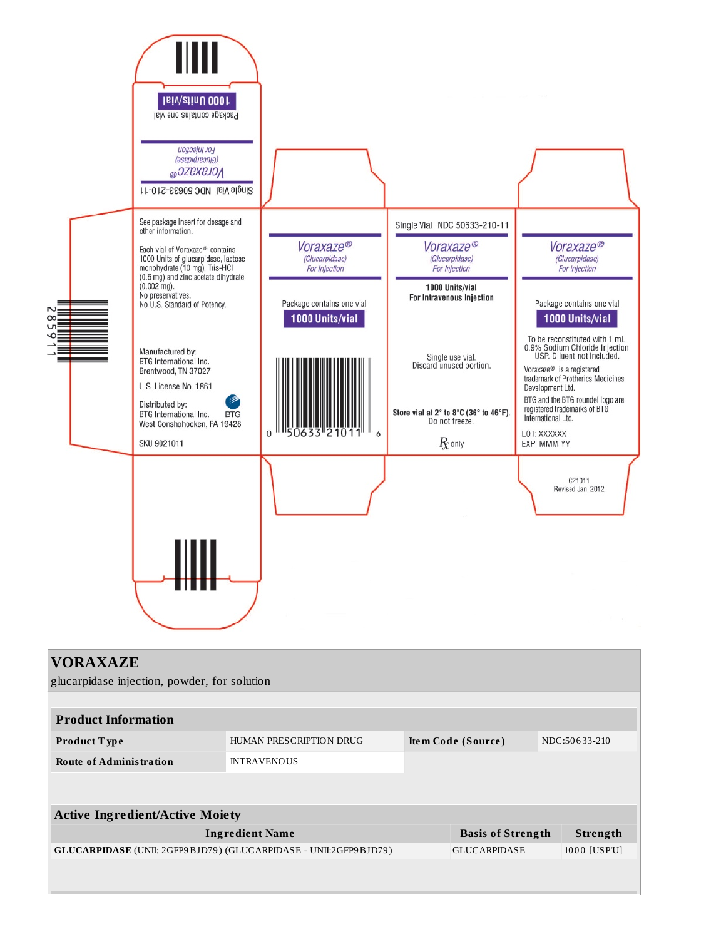

#### **VORAXAZE**

glucarpidase injection, powder, for solution

| <b>Product Information</b> |                         |                    |               |  |
|----------------------------|-------------------------|--------------------|---------------|--|
| Product Type               | HUMAN PRESCRIPTION DRUG | Item Code (Source) | NDC:50633-210 |  |
| Route of Administration    | <b>INTRAVENOUS</b>      |                    |               |  |

| <b>Active Ingredient/Active Moiety</b>                                    |                          |              |  |
|---------------------------------------------------------------------------|--------------------------|--------------|--|
| Ingredient Name                                                           | <b>Basis of Strength</b> | Strength     |  |
| <b>GLUCARPIDASE</b> (UNII: 2GFP9 BJD79) (GLUCARPIDASE - UNII:2GFP9 BJD79) | <b>GLUCARPIDASE</b>      | 1000 [USP'U] |  |
|                                                                           |                          |              |  |